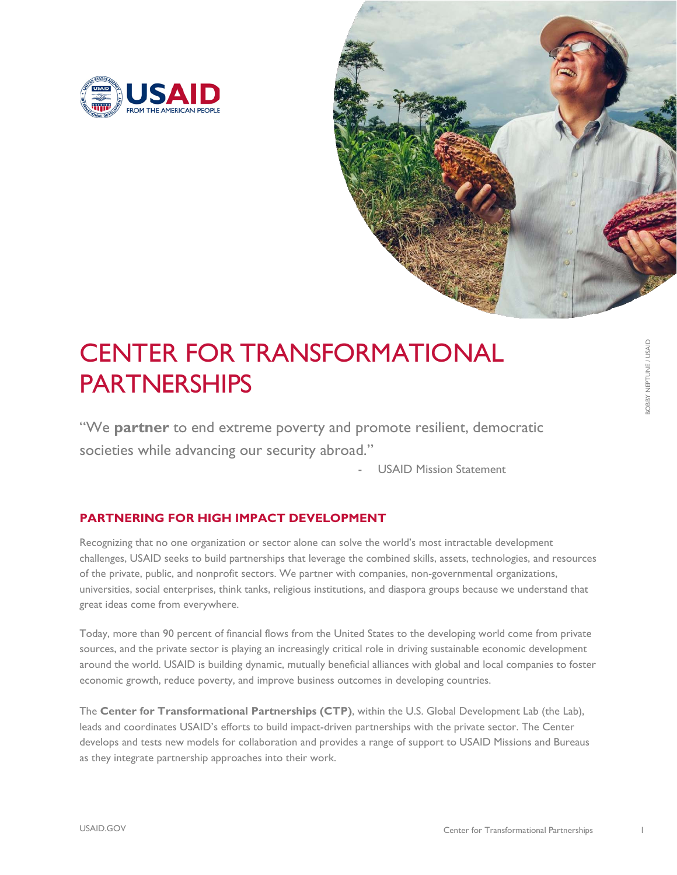



# CENTER FOR TRANSFORMATIONAL PARTNERSHIPS

"We **partner** to end extreme poverty and promote resilient, democratic societies while advancing our security abroad."

**USAID Mission Statement** 

## **PARTNERING FOR HIGH IMPACT DEVELOPMENT**

Recognizing that no one organization or sector alone can solve the world's most intractable development challenges, USAID seeks to build partnerships that leverage the combined skills, assets, technologies, and resources of the private, public, and nonprofit sectors. We partner with companies, non-governmental organizations, universities, social enterprises, think tanks, religious institutions, and diaspora groups because we understand that great ideas come from everywhere.

Today, more than 90 percent of financial flows from the United States to the developing world come from private sources, and the private sector is playing an increasingly critical role in driving sustainable economic development around the world. USAID is building dynamic, mutually beneficial alliances with global and local companies to foster economic growth, reduce poverty, and improve business outcomes in developing countries.

The **Center for Transformational Partnerships (CTP)**, within the U.S. Global Development Lab (the Lab), leads and coordinates USAID's efforts to build impact-driven partnerships with the private sector. The Center develops and tests new models for collaboration and provides a range of support to USAID Missions and Bureaus as they integrate partnership approaches into their work.